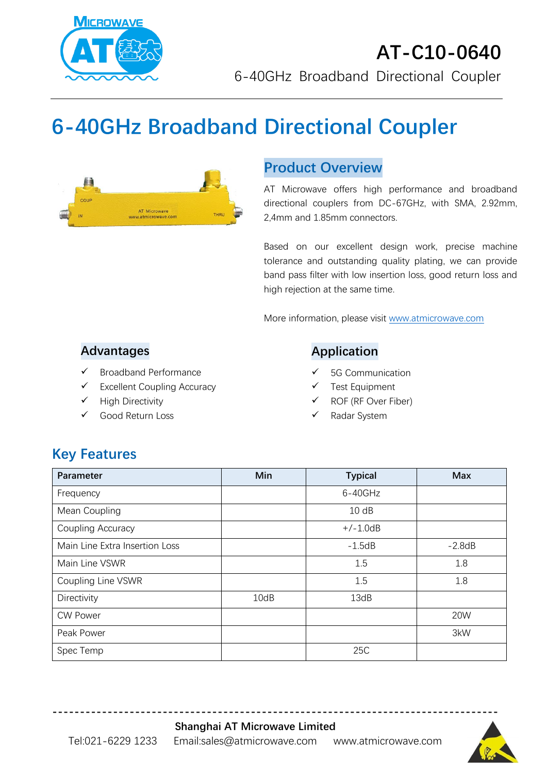

# **6-40GHz Broadband Directional Coupler**



## **Product Overview**

AT Microwave offers high performance and broadband directional couplers from DC-67GHz, with SMA, 2.92mm, 2,4mm and 1.85mm connectors.

Based on our excellent design work, precise machine tolerance and outstanding quality plating, we can provide band pass filter with low insertion loss, good return loss and high rejection at the same time.

More information, please visit [www.atmicrowave.com](http://www.atmicrowave.com/)

### **Advantages**

- ✓ Broadband Performance
- ✓ Excellent Coupling Accuracy
- ✓ High Directivity
- Good Return Loss

### **Application**

- 5G Communication
- Test Equipment
- ROF (RF Over Fiber)
- Radar System

# **Key Features**

| Parameter                      | Min  | <b>Typical</b> | <b>Max</b> |
|--------------------------------|------|----------------|------------|
| Frequency                      |      | $6 - 40$ GHz   |            |
| Mean Coupling                  |      | 10dB           |            |
| Coupling Accuracy              |      | $+/-1.0dB$     |            |
| Main Line Extra Insertion Loss |      | $-1.5dB$       | $-2.8dB$   |
| Main Line VSWR                 |      | 1.5            | 1.8        |
| Coupling Line VSWR             |      | 1.5            | 1.8        |
| Directivity                    | 10dB | 13dB           |            |
| <b>CW Power</b>                |      |                | 20W        |
| Peak Power                     |      |                | 3kW        |
| Spec Temp                      |      | 25C            |            |